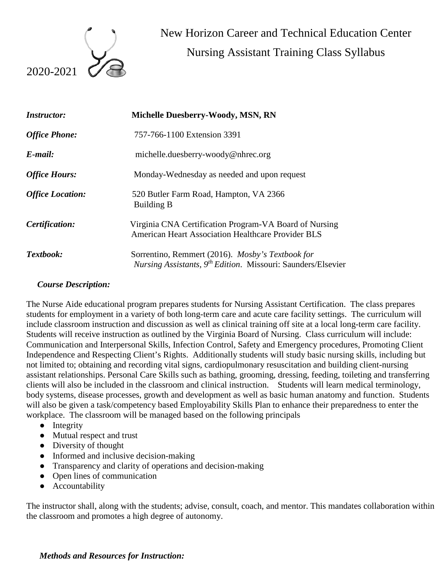

 New Horizon Career and Technical Education Center Nursing Assistant Training Class Syllabus

| <b>Instructor:</b>      | Michelle Duesberry-Woody, MSN, RN                                                                                                  |  |
|-------------------------|------------------------------------------------------------------------------------------------------------------------------------|--|
| <b>Office Phone:</b>    | 757-766-1100 Extension 3391                                                                                                        |  |
| $E$ -mail:              | michelle.duesberry-woody@nhrec.org                                                                                                 |  |
| <b>Office Hours:</b>    | Monday-Wednesday as needed and upon request                                                                                        |  |
| <b>Office Location:</b> | 520 Butler Farm Road, Hampton, VA 2366<br><b>Building B</b>                                                                        |  |
| Certification:          | Virginia CNA Certification Program-VA Board of Nursing<br><b>American Heart Association Healthcare Provider BLS</b>                |  |
| Textbook:               | Sorrentino, Remmert (2016). Mosby's Textbook for<br><i>Nursing Assistants, 9<sup>th</sup> Edition.</i> Missouri: Saunders/Elsevier |  |

#### *Course Description:*

The Nurse Aide educational program prepares students for Nursing Assistant Certification. The class prepares students for employment in a variety of both long-term care and acute care facility settings. The curriculum will include classroom instruction and discussion as well as clinical training off site at a local long-term care facility. Students will receive instruction as outlined by the Virginia Board of Nursing. Class curriculum will include: Communication and Interpersonal Skills, Infection Control, Safety and Emergency procedures, Promoting Client Independence and Respecting Client's Rights. Additionally students will study basic nursing skills, including but not limited to; obtaining and recording vital signs, cardiopulmonary resuscitation and building client-nursing assistant relationships. Personal Care Skills such as bathing, grooming, dressing, feeding, toileting and transferring clients will also be included in the classroom and clinical instruction. Students will learn medical terminology, body systems, disease processes, growth and development as well as basic human anatomy and function. Students will also be given a task/competency based Employability Skills Plan to enhance their preparedness to enter the workplace. The classroom will be managed based on the following principals

- Integrity
- Mutual respect and trust
- Diversity of thought
- Informed and inclusive decision-making
- Transparency and clarity of operations and decision-making
- Open lines of communication
- Accountability

The instructor shall, along with the students; advise, consult, coach, and mentor. This mandates collaboration within the classroom and promotes a high degree of autonomy.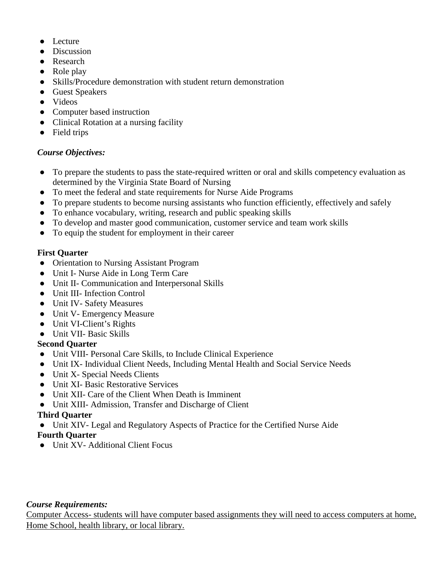- Lecture
- Discussion
- Research
- Role play
- Skills/Procedure demonstration with student return demonstration
- Guest Speakers
- Videos
- Computer based instruction
- Clinical Rotation at a nursing facility
- Field trips

# *Course Objectives:*

- To prepare the students to pass the state-required written or oral and skills competency evaluation as determined by the Virginia State Board of Nursing
- To meet the federal and state requirements for Nurse Aide Programs
- To prepare students to become nursing assistants who function efficiently, effectively and safely
- To enhance vocabulary, writing, research and public speaking skills
- To develop and master good communication, customer service and team work skills
- To equip the student for employment in their career

## **First Quarter**

- Orientation to Nursing Assistant Program
- Unit I- Nurse Aide in Long Term Care
- Unit II- Communication and Interpersonal Skills
- Unit III- Infection Control
- Unit IV- Safety Measures
- Unit V- Emergency Measure
- Unit VI-Client's Rights
- Unit VII- Basic Skills

# **Second Quarter**

- Unit VIII- Personal Care Skills, to Include Clinical Experience
- Unit IX- Individual Client Needs, Including Mental Health and Social Service Needs
- Unit X- Special Needs Clients
- Unit XI- Basic Restorative Services
- Unit XII- Care of the Client When Death is Imminent
- Unit XIII- Admission, Transfer and Discharge of Client

# **Third Quarter**

● Unit XIV- Legal and Regulatory Aspects of Practice for the Certified Nurse Aide

# **Fourth Quarter**

● Unit XV- Additional Client Focus

## *Course Requirements:*

Computer Access- students will have computer based assignments they will need to access computers at home, Home School, health library, or local library.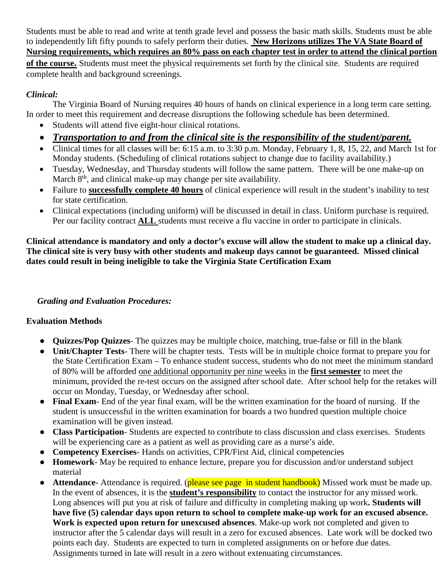Students must be able to read and write at tenth grade level and possess the basic math skills. Students must be able to independently lift fifty pounds to safely perform their duties. **New Horizons utilizes The VA State Board of Nursing requirements, which requires an 80% pass on each chapter test in order to attend the clinical portion of the course.** Students must meet the physical requirements set forth by the clinical site. Students are required complete health and background screenings.

## *Clinical:*

The Virginia Board of Nursing requires 40 hours of hands on clinical experience in a long term care setting. In order to meet this requirement and decrease disruptions the following schedule has been determined.

- Students will attend five eight-hour clinical rotations.
- *Transportation to and from the clinical site is the responsibility of the student/parent.*
- Clinical times for all classes will be: 6:15 a.m. to 3:30 p.m. Monday, February 1, 8, 15, 22, and March 1st for Monday students. (Scheduling of clinical rotations subject to change due to facility availability.)
- Tuesday, Wednesday, and Thursday students will follow the same pattern. There will be one make-up on March  $8<sup>th</sup>$ , and clinical make-up may change per site availability.
- Failure to **successfully complete 40 hours** of clinical experience will result in the student's inability to test for state certification.
- Clinical expectations (including uniform) will be discussed in detail in class. Uniform purchase is required. Per our facility contract **ALL** students must receive a flu vaccine in order to participate in clinicals.

**Clinical attendance is mandatory and only a doctor's excuse will allow the student to make up a clinical day. The clinical site is very busy with other students and makeup days cannot be guaranteed. Missed clinical dates could result in being ineligible to take the Virginia State Certification Exam**

# *Grading and Evaluation Procedures:*

# **Evaluation Methods**

- **Quizzes/Pop Quizzes** The quizzes may be multiple choice, matching, true-false or fill in the blank
- **Unit/Chapter Tests** There will be chapter tests. Tests will be in multiple choice format to prepare you for the State Certification Exam – To enhance student success, students who do not meet the minimum standard of 80% will be afforded one additional opportunity per nine weeks in the **first semester** to meet the minimum, provided the re-test occurs on the assigned after school date. After school help for the retakes will occur on Monday, Tuesday, or Wednesday after school.
- **Final Exam** End of the year final exam, will be the written examination for the board of nursing. If the student is unsuccessful in the written examination for boards a two hundred question multiple choice examination will be given instead.
- **Class Participation** Students are expected to contribute to class discussion and class exercises. Students will be experiencing care as a patient as well as providing care as a nurse's aide.
- **Competency Exercises** Hands on activities, CPR/First Aid, clinical competencies
- **Homework** May be required to enhance lecture, prepare you for discussion and/or understand subject material
- **Attendance** Attendance is required. (**please see page in student handbook**) Missed work must be made up. In the event of absences, it is the **student's responsibility** to contact the instructor for any missed work. Long absences will put you at risk of failure and difficulty in completing making up work**. Students will have five (5) calendar days upon return to school to complete make-up work for an excused absence. Work is expected upon return for unexcused absences**. Make-up work not completed and given to instructor after the 5 calendar days will result in a zero for excused absences. Late work will be docked two points each day. Students are expected to turn in completed assignments on or before due dates. Assignments turned in late will result in a zero without extenuating circumstances.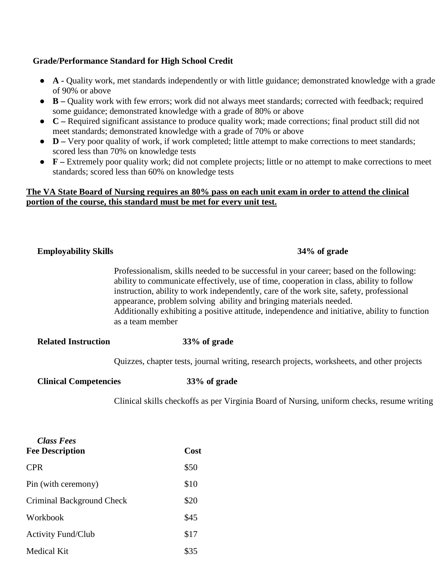### **Grade/Performance Standard for High School Credit**

- **A -** Quality work, met standards independently or with little guidance; demonstrated knowledge with a grade of 90% or above
- **B –** Quality work with few errors; work did not always meet standards; corrected with feedback; required some guidance; demonstrated knowledge with a grade of 80% or above
- **C –** Required significant assistance to produce quality work; made corrections; final product still did not meet standards; demonstrated knowledge with a grade of 70% or above
- **D** Very poor quality of work, if work completed; little attempt to make corrections to meet standards; scored less than 70% on knowledge tests
- **F –** Extremely poor quality work; did not complete projects; little or no attempt to make corrections to meet standards; scored less than 60% on knowledge tests

#### **The VA State Board of Nursing requires an 80% pass on each unit exam in order to attend the clinical portion of the course, this standard must be met for every unit test.**

| <b>Employability Skills</b>  | 34% of grade                                                                                                                                                                                                                                                                                                                                                                                                                                                              |
|------------------------------|---------------------------------------------------------------------------------------------------------------------------------------------------------------------------------------------------------------------------------------------------------------------------------------------------------------------------------------------------------------------------------------------------------------------------------------------------------------------------|
|                              | Professionalism, skills needed to be successful in your career; based on the following:<br>ability to communicate effectively, use of time, cooperation in class, ability to follow<br>instruction, ability to work independently, care of the work site, safety, professional<br>appearance, problem solving ability and bringing materials needed.<br>Additionally exhibiting a positive attitude, independence and initiative, ability to function<br>as a team member |
| <b>Related Instruction</b>   | 33% of grade                                                                                                                                                                                                                                                                                                                                                                                                                                                              |
|                              | Quizzes, chapter tests, journal writing, research projects, worksheets, and other projects                                                                                                                                                                                                                                                                                                                                                                                |
| <b>Clinical Competencies</b> | 33% of grade                                                                                                                                                                                                                                                                                                                                                                                                                                                              |
|                              | Clinical skills checkoffs as per Virginia Board of Nursing, uniform checks, resume writing                                                                                                                                                                                                                                                                                                                                                                                |
|                              |                                                                                                                                                                                                                                                                                                                                                                                                                                                                           |
| Class Fees                   |                                                                                                                                                                                                                                                                                                                                                                                                                                                                           |

| <b>Fee Description</b>    | Cost |  |
|---------------------------|------|--|
| <b>CPR</b>                | \$50 |  |
| Pin (with ceremony)       | \$10 |  |
| Criminal Background Check | \$20 |  |
| Workbook                  | \$45 |  |
| <b>Activity Fund/Club</b> | \$17 |  |
| Medical Kit               | \$35 |  |